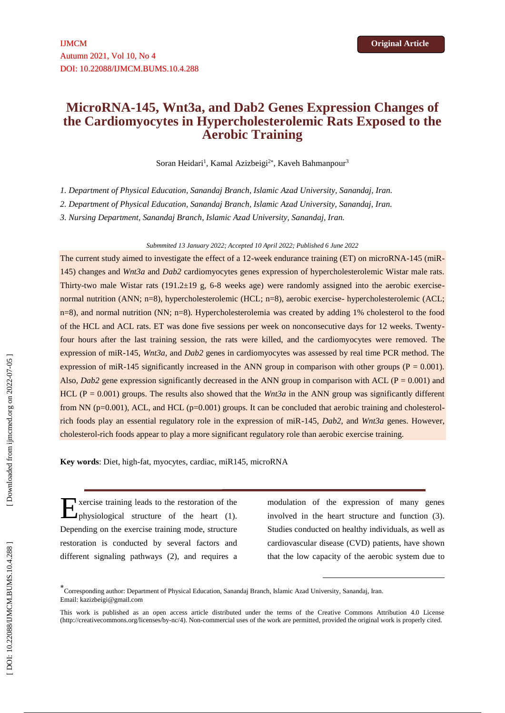# **MicroRNA -145, Wnt3a, and Dab2 Genes Expression Changes of the Cardiomyocytes in Hypercholesterolemic Rats Exposed to the Aerobic Training**

Soran Heidari<sup>1</sup>, Kamal Azizbeigi<sup>2\*</sup>, Kaveh Bahmanpour<sup>3</sup>

*1. Department of Physical Education, Sanandaj Branch, Islamic Azad University, Sanandaj, Iran.*

*2. Department of Physical Education, Sanandaj Branch, Islamic Azad University, Sanandaj, Iran.*

*3. Nursing Department, Sanandaj Branch, Islamic Azad University, Sanandaj, Iran.*

### *Submmited 13 January 2022; Accepted 10 April 2022; Published 6 June 2022*

The current study aimed to investigate the effect of a 12-week endurance training (ET) on microRNA-145 (miR-145) changes and *Wnt3a* and *Dab2* cardiomyocytes genes expression of hypercholesterolemic Wistar male rats. Thirty -two male Wistar rats (191.2±19 g, 6 -8 weeks age) were randomly assigned into the aerobic exercise normal nutrition (ANN; n=8), hypercholesterolemic (HCL; n=8), aerobic exercise- hypercholesterolemic (ACL; n=8), and normal nutrition (NN; n=8). Hypercholesterolemia was created by adding 1% cholesterol to the food of the HCL and ACL rats. ET was done five sessions per week on nonconsecutive days for 12 weeks. Twenty four hours after the last training session, the rats were killed, and the cardiomyocytes were removed. The expression of miR -145, *Wnt3a*, and *Dab2* genes in cardiomyocytes was assessed by real time PCR method. The expression of miR-145 significantly increased in the ANN group in comparison with other groups ( $P = 0.001$ ). Also, *Dab2* gene expression significantly decreased in the ANN group in comparison with ACL ( $P = 0.001$ ) and HCL ( $P = 0.001$ ) groups. The results also showed that the *Wnt3a* in the ANN group was significantly different from NN (p=0.001), ACL, and HCL (p=0.001) groups. It can be concluded that aerobic training and cholesterolrich foods play an essential regulatory role in the expression of miR -145, *Dab2*, and *Wnt3a* genes. However, cholesterol -rich foods appear to play a more significant regulatory role than aerobic exercise training.

**Key words** : Diet, high -fat, myocytes, cardiac, miR145, microRNA

xercise training leads to the restoration of the physiological structure of the heart (1). Depending on the exercise training mode, structure restoration is conducted by several factors and different signaling pathways (2), and requires a E

modulation of the expression of many genes involved in the heart structure and function (3). Studies conducted on healthy individuals, as well as cardiovascular disease (CVD) patients, have shown that the low capacity of the aerobic system due to

**.** 

<sup>\*&</sup>lt;br>Corresponding author: Department of Physical Education, Sanandaj Branch, Islamic Azad University, Sanandaj, Iran. Email: [kazizbeigi@gmail.com](mailto:kazizbeigi@gmail.com)

This work is published as an open access article distributed under the terms of the Creative Commons Attribution 4.0 License [\(http://creativecommons.org/licenses/by-nc/4\)](http://creativecommons.org/licenses/by-nc/4). Non-commercial uses of the work are permitted, pro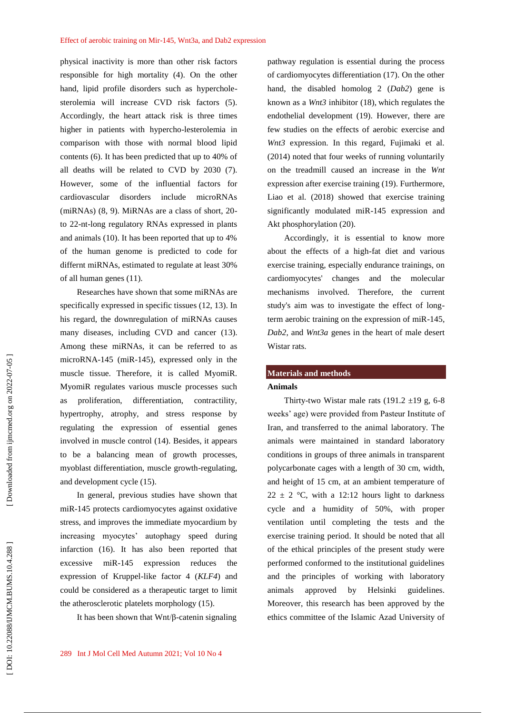physical inactivity is more than other risk factors responsible for high mortality (4). On the other hand, lipid profile disorders such as hyperchole sterolemia will increase CVD risk factors (5). Accordingly, the heart attack risk is three times higher in patients with hypercho -lesterolemia in comparison with those with normal blood lipid contents (6). It has been predicted that up to 40% of all deaths will be related to CVD by 2030 (7). However, some of the influential factors for cardiovascular disorders include microRNAs (miRNAs) (8, 9). MiRNAs are a class of short, 20 to 22 -nt -long regulatory RNAs expressed in plants and animals (10). It has been reported that up to 4% of the human genome is predicted to code for differnt miRNAs, estimated to regulate at least 30% of all human genes (11).

Researches have shown that some miRNAs are specifically expressed in specific tissues (12, 13). In his regard, the downregulation of miRNAs causes many diseases, including CVD and cancer (13). Among these miRNAs, it can be referred to as microRNA -145 (miR -145), expressed only in the muscle tissue. Therefore, it is called MyomiR. MyomiR regulates various muscle processes such as proliferation, differentiation, contractility, hypertrophy, atrophy, and stress response by regulating the expression of essential genes involved in muscle control (14). Besides, it appears to be a balancing mean of growth processes, myoblast differentiation, muscle growth -regulating, and development cycle (15).

In general, previous studies have shown that miR -145 protects cardiomyocytes against oxidative stress, and improves the immediate myocardium by increasing myocytes' autophagy speed during infarction (16). It has also been reported that excessive miR -145 expression reduces the expression of Kruppel -like factor 4 (*KLF4*) and could be considered as a therapeutic target to limit the atherosclerotic platelets morphology (15).

It has been shown that Wnt/β -catenin signaling

pathway regulation is essential during the process of cardiomyocytes differentiation (17). On the other hand, the disabled homolog 2 (*Dab2*) gene is known as a *Wnt3* inhibitor (18), which regulates the endothelial development (19). However, there are few studies on the effects of aerobic exercise and *Wnt3* expression. In this regard, Fujimaki et al. (2014) noted that four weeks of running voluntarily on the treadmill caused an increase in the *Wnt* expression after exercise training (19). Furthermore, Liao et al. (2018) showed that exercise training significantly modulated miR -145 expression and Akt phosphorylation (20).

Accordingly, it is essential to know more about the effects of a high -fat diet and various exercise training, especially endurance trainings, on cardiomyocytes' changes and the molecular mechanisms involved. Therefore, the current study's aim was to investigate the effect of long term aerobic training on the expression of miR -145, *Dab2*, and *Wnt3a* genes in the heart of male de sert Wistar rats.

# **Materials and methods**

# **Animals**

Thirty-two Wistar male rats  $(191.2 \pm 19 \text{ g}, 6-8)$ weeks' age) were provided from Pasteur Institute of Iran, and transferred to the animal laboratory. The animals were maintained in standard laboratory conditions in groups of three animals in transparent polycarbonate cages with a length of 30 cm, width, and height of 15 cm, at an ambient temperature of  $22 \pm 2$  °C, with a 12:12 hours light to darkness cycle and a humidity of 50%, with proper ventilation until completing the tests and the exercise training period. It should be noted that all of the ethical principles of the present study were performed conformed to the institutional guidelines and the principles of working with laboratory animals approved by Helsinki guidelines. Moreover, this research has been approved by the ethics committee of the Islamic Azad University of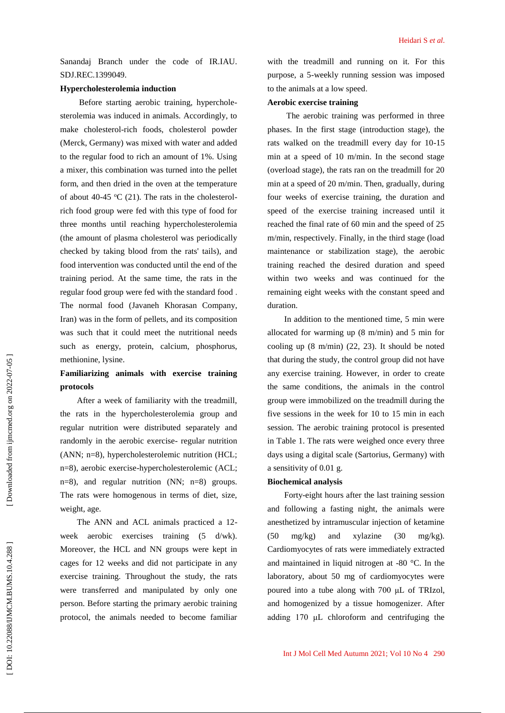Sanandaj Branch under the code of IR.IAU. SDJ.REC.1399049.

# **Hypercholesterolemia induction**

Before starting aerobic training, hyperchole sterolemia was induced in animals. Accordingly, to make cholesterol -rich foods, cholesterol powder (Merck, Germany) was mixed with water and added to the regular food to rich an amount of 1%. Using a mixer, this combination was turned into the pellet form, and then dried in the oven at the temperature of about 40-45  $\rm{^{\circ}C}$  (21). The rats in the cholesterolrich food group were fed with this type of food for three months until reaching hypercholesterolemia (the amount of plasma cholesterol was periodically checked by taking blood from the rats' tails), and food intervention was conducted until the end of the training period. At the same time, the rats in the regular food group were fed with the standard food . The normal food (Javaneh Khorasan Company, Iran) was in the form of pellets, and its composition was such that it could meet the nutritional needs such as energy, protein, calcium, phosphorus, methionine, lysine.

# **Familiarizing animals with exercise training protocols**

After a week of familiarity with the treadmill, the rats in the hypercholesterolemia group and regular nutrition were distributed separately and randomly in the aerobic exercise - regular nutrition (ANN; n=8), hypercholesterolemic nutrition (HCL; n=8), aerobic exercise -hypercholesterolemic (ACL; n=8), and regular nutrition (NN; n=8) groups. The rats were homogenous in terms of diet, size, weight, age.

The ANN and ACL animals practiced a 12 week aerobic exercises training  $(5 \text{ d/wk})$ . Moreover, the HCL and NN groups were kept in cages for 12 weeks and did not participate in any exercise training. Throughout the study, the rats were transferred and manipulated by only one person. Before starting the primary aerobic training protocol, the animals needed to become familiar

with the treadmill and running on it. For this purpose, a 5 -weekly running session was imposed to the animals at a low speed .

# **Aerobic exercise training**

The aerobic training was performed in three phases. In the first stage (introduction stage), the rats walked on the treadmill every day for 10 -15 min at a speed of 10 m/min. In the second stage (overload stage), the rats ran on the treadmill for 20 min at a speed of 20 m/min. Then, gradually, during four weeks of exercise training, the duration and speed of the exercise training increased until it reached the final rate of 60 min and the speed of 25 m/min, respectively. Finally, in the third stage (load maintenance or stabilization stage), the aerobic training reached the desired duration and speed within two weeks and was continued for the remaining eight weeks with the constant speed and duration.

In addition to the mentioned time, 5 min were allocated for warming up (8 m/min) and 5 min for cooling up (8 m/min) (22, 23). It should be noted that during the study, the control group did not have any exercise training. However, in order to create the same conditions, the animals in the control group were immobilized on the treadmill during the five sessions in the week for 10 to 15 min in each session. The aerobic training protocol is presented in Table 1. The rats were weighed once every three days using a digital scale (Sartorius, Germany) with a sensitivity of 0.01 g.

## **Biochemical analysis**

Forty -eight hours after the last training session and following a fasting night, the animals were anesthetized by intramuscular injection of ketamine (50 mg/kg) and xylazine (30 mg/kg). Cardiomyocytes of rats were immediately extracted and maintained in liquid nitrogen at -80 °C. In the laboratory, about 50 mg of cardiomyocytes were poured into a tube along with 700 μ L of TRIzol, and homogenized by a tissue homogenizer. After adding 170 μ L chloroform and centrifuging the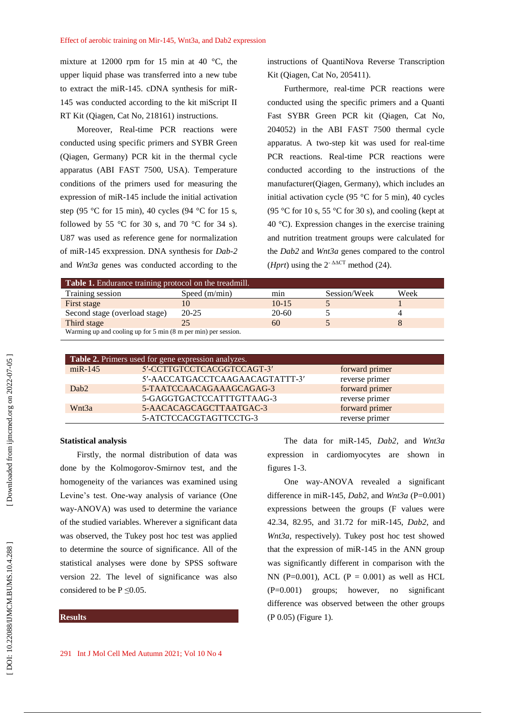mixture at 12000 rpm for 15 min at 40 °C, the upper liquid phase was transferred into a new tube to extract the miR -145. cDNA synthesis for miR - 145 was conducted according to the kit miScript II RT Kit (Qiagen, Cat No, 218161) instructions.

Moreover, Real-time PCR reactions were conducted using specific primers and SYBR Green (Qiagen, Germany) PCR kit in the thermal cycle apparatus (ABI FAST 7500, USA). Temperature conditions of the primers used for measuring the expression of miR -145 include the initial activation step (95 °C for 15 min), 40 cycles (94 °C for 15 s, followed by 55 °C for 30 s, and 70 °C for 34 s). U87 was used as reference gene for normalization of miR -145 exxpression. DNA synthesis for *Dab - 2* and *Wnt3a* genes was conducted according to the

instructions of QuantiNova Reverse Transcription Kit (Qiagen, Cat No, 205411).

Furthermore, real -time PCR reactions were conducted using the specific primers and a Quanti Fast SYBR Green PCR kit (Qiagen, Cat No, 204052) in the ABI FAST 7500 thermal cycle apparatus. A two -step kit was used for real -time PCR reactions. Real-time PCR reactions were conducted according to the instructions of the manufacturer(Qiagen, Germany), which includes an initial activation cycle (95 $\degree$ C for 5 min), 40 cycles (95 °C for 10 s, 55 °C for 30 s), and cooling (kept at 40 °C). Expression changes in the exercise training and nutrition treatment groups were calculated for the *Dab2* and *Wnt3a* genes compared to the control (*Hprt*) using the  $2^{-\Delta\Delta CT}$  method (24).

| <b>Table 1.</b> Endurance training protocol on the treadmill.  |                 |           |              |      |  |
|----------------------------------------------------------------|-----------------|-----------|--------------|------|--|
| Training session                                               | Speed $(m/min)$ | mın       | Session/Week | Week |  |
| First stage                                                    | 10              | $10 - 15$ |              |      |  |
| Second stage (overload stage)                                  | $20 - 25$       | $20-60$   |              |      |  |
| Third stage                                                    | 25              | 60        |              |      |  |
| Warming up and cooling up for 5 min (8 m per min) per session. |                 |           |              |      |  |

| Table 2. Primers used for gene expression analyzes. |                                 |                |  |
|-----------------------------------------------------|---------------------------------|----------------|--|
| $mR-145$                                            | 5'-CCTTGTCCTCACGGTCCAGT-3'      | forward primer |  |
|                                                     | 5'-AACCATGACCTCAAGAACAGTATTT-3' | reverse primer |  |
| Dab <sub>2</sub>                                    | 5-TAATCCAACAGAAAGCAGAG-3        | forward primer |  |
|                                                     | 5-GAGGTGACTCCATTTGTTAAG-3       | reverse primer |  |
| Wnt3a                                               | 5-AACACAGCAGCTTAATGAC-3         | forward primer |  |
|                                                     | 5-ATCTCCACGTAGTTCCTG-3          | reverse primer |  |

#### **Statistical analysis**

Firstly, the normal distribution of data was done by the Kolmogorov -Smirnov test, and the homogeneity of the variances was examined using Levine's test. One -way analysis of variance (One way -ANOVA) was used to determine the variance of the studied variables. Wherever a significant data was observed, the Tukey post hoc test was applied to determine the source of significance. All of the statistical analyses were done by SPSS software version 22. The level of significance was also considered to be  $P \leq 0.05$ .

#### **Results**

The data for miR -145, *Dab2*, and *Wnt3a* expression in cardiomyocytes are shown in figures 1 -3.

One way -ANOVA revealed a significant difference in miR -145, *Dab2*, and *Wnt3a* (P=0.001) expressions between the groups (F values were 42.34, 82.95, and 31.72 for miR -145, *Dab2*, and *Wnt3a*, respectively). Tukey post hoc test showed that the expression of miR -145 in the ANN group was significantly different in comparison with the NN (P=0.001), ACL (P = 0.001) as well as HCL (P=0.001) groups; however, no significant difference was observed between the other groups (P 0.05) (Figure 1).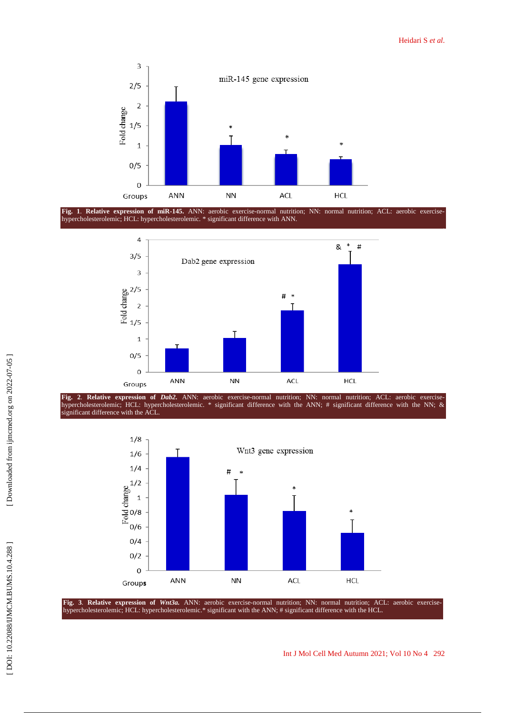.

.



**Fig. 1. Relative expression of miR-145.** ANN: aerobic exercise-normal nutrition; NN: normal nutrition; ACL: aerobic exercisehypercholesterolemic; HCL: hypercholesterolemic. \* significant difference with ANN.



Fig. 2. Relative expression of *Dab2*. ANN: aerobic exercise-normal nutrition; NN: normal nutrition; ACL: aerobic exercisehypercholesterolemic; HCL: hypercholesterolemic. \* significant difference with the ANN; # significant difference with the NN; & significant difference with the ACL .



Fig. 3. Relative expression of Wnt3a. ANN: aerobic exercise-normal nutrition; NN: normal nutrition; ACL: aerobic exercisehypercholesterolemic; HCL: hypercholesterolemic.\* significant with the ANN; # significant difference with the HCL. .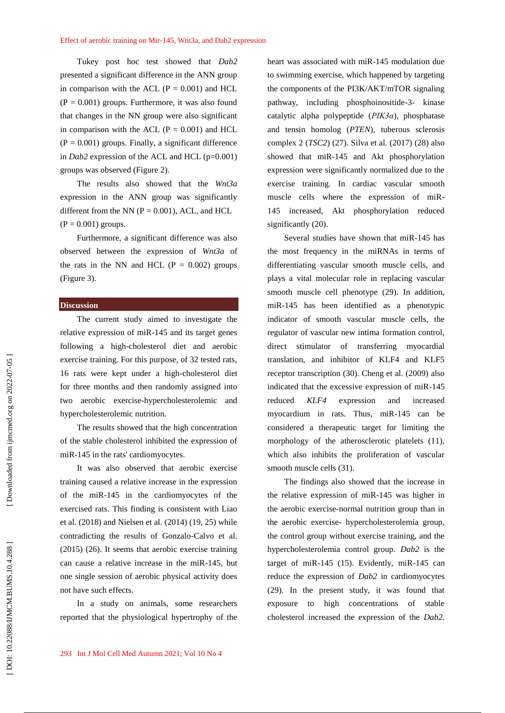Tukey post hoc test showed that *Dab2* presented a significant difference in the ANN group in comparison with the ACL  $(P = 0.001)$  and HCL  $(P = 0.001)$  groups. Furthermore, it was also found that changes in the NN group were also significant in comparison with the ACL  $(P = 0.001)$  and HCL  $(P = 0.001)$  groups. Finally, a significant difference in *Dab2* expression of the ACL and HCL (p=0.001) groups was observed (Figure 2).

The results also showed that the *Wnt3a* expression in the ANN group was significantly different from the NN ( $P = 0.001$ ), ACL, and HCL  $(P = 0.001)$  groups.

Furthermore, a significant difference was also observed between the expression of *Wnt3a* of the rats in the NN and HCL  $(P = 0.002)$  groups (Figure 3).

#### **Discussion**

The current study aimed to investigate the relative expression of miR -145 and its target genes following a high -cholesterol diet and aerobic exercise training. For this purpose, of 32 tested rats, 16 rats were kept under a high -cholesterol diet for three months and then randomly assigned into two aerobic exercise -hypercholesterolemic and hypercholesterolemic nutrition.

The results showed that the high concentration of the stable cholesterol inhibited the expression of miR -145 in the rats' cardiomyocytes.

It was also observed that aerobic exercise training caused a relative increase in the expression of the miR -145 in the cardiomyocytes of the exercised rats. This finding is consistent with Liao et al. (2018) and Nielsen et al. (2014) (19, 25) while contradicting the results of Gonzalo-Calvo et al. (2015) (26). It seems that aerobic exercise training can cause a relative increase in the miR -145, but one single session of aerobic physical activity does not have such effects.

In a study on animals, some researchers reported that the physiological hypertrophy of the heart was associated with miR -145 modulation due to swimming exercise, which happened by targeting the components of the PI3K/AKT/mTOR signaling pathway, including phosphoinositide - 3 - kinase catalytic alpha polypeptide (*PIK3α*), phosphatase and tensin homolog (*PTEN*), tuberous sclerosis complex 2 (*TSC2*) (27). Silva et al. (2017) (28) also showed that miR -145 and Akt phosphorylation expression were significantly normalized due to the exercise training. In cardiac vascular smooth muscle cells where the expression of miR - 145 increased, Akt phosphorylation reduced significantly (20).

Several studies have shown that miR -145 has the most frequency in the miRNAs in terms of differentiating vascular smooth muscle cells, and plays a vital molecular role in replacing vascular smooth muscle cell phenotype (29). In addition, miR -145 has been identified as a phenotypic indicator of smooth vascular muscle cells, the regulator of vascular new intima formation control, direct stimulator of transferring myocardial translation, and inhibitor of KLF4 and KLF5 receptor transcription (30). Cheng et al. (2009) also indicated that the excessive expression of miR -145 reduced *KLF4* expression and increased myocardium in rats. Thus, miR -145 can be considered a therapeutic target for limiting the morphology of the atherosclerotic platelets (11), which also inhibits the proliferation of vascular smooth muscle cells (31).

The findings also showed that the increase in the relative expression of miR -145 was higher in the aerobic exercise -normal nutrition group than in the aerobic exercise - hypercholesterolemia group, the control group without exercise training, and the hypercholesterolemia control group. *Dab2* is the target of miR -145 (15). Evidently, miR -145 can reduce the expression of *Dab2* in cardiomyocytes (29). In the present study, it was found that exposure to high concentrations of stable cholesterol increased the expression of the *Dab2*.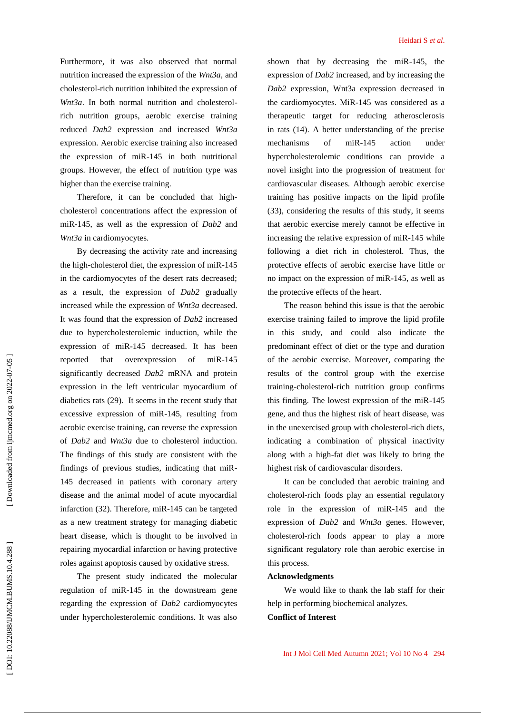Furthermore, it was also observed that normal nutrition increased the expression of the *Wnt3a*, and cholesterol -rich nutrition inhibited the expression of Wnt3a. In both normal nutrition and cholesterolrich nutrition groups, aerobic exercise training reduced *Dab2* expression and increased *Wnt3a* expression. Aerobic exercise training also increased the expression of miR -145 in both nutritional groups. However, the effect of nutrition type was higher than the exercise training.

Therefore, it can be concluded that high cholesterol concentrations affect the expression of miR -145, as well as the expression of *Dab2* and *Wnt3a* in cardiomyocytes.

By decreasing the activity rate and increasing the high -cholesterol diet, the expression of miR -145 in the cardiomyocytes of the desert rats decreased; as a result, the expression of *Dab2* gradually increased while the expression of *Wnt3a* decreased. It was found that the expression of *Dab2* increased due to hypercholesterolemic induction, while the expression of miR -145 decreased. It has been reported that overexpression of miR-145 significantly decreased *Dab2* mRNA and protein expression in the left ventricular myocardium of diabetics rats (29). It seems in the recent study that excessive expression of miR -145, resulting from aerobic exercise training, can reverse the expression of *Dab2* and *Wnt3a* due to cholesterol induction. The findings of this study are consistent with the findings of previous studies, indicating that miR - 145 decreased in patients with coronary artery disease and the animal model of acute myocardial infarction (32). Therefore, miR -145 can be targeted as a new treatment strategy for managing diabetic heart disease, which is thought to be involved in repairing myocardial infarction or having protective roles against apoptosis caused by oxidative stress.

The present study indicated the molecular regulation of miR -145 in the downstream gene regarding the expression of *Dab2* cardiomyocytes under hypercholesterolemic conditions. It was also

shown that by decreasing the miR -145, the expression of *Dab2* increased, and by increasing the *Dab2* expression, Wnt3a expression decreased in the cardiomyocytes. MiR -145 was considered as a therapeutic target for reducing atherosclerosis in rats (14). A better understanding of the precise mechanisms of miR-145 action under hypercholesterolemic conditions can provide a novel insight into the progression of treatment for cardiovascular diseases. Although aerobic exercise training has positive impacts on the lipid profile (33), considering the results of this study, it seems that aerobic exercise merely cannot be effective in increasing the relative expression of miR -145 while following a diet rich in cholesterol. Thus, the protective effects of aerobic exercise have little or no impact on the expression of miR -145, as well as the protective effects of the heart.

The reason behind this issue is that the aerobic exercise training failed to improve the lipid profile in this study, and could also indicate the predominant effect of diet or the type and duration of the aerobic exercise. Moreover, comparing the results of the control group with the exercise training -cholesterol -rich nutrition group confirms this finding. The lowest expression of the miR -145 gene, and thus the highest risk of heart disease, was in the unexercised group with cholesterol -rich diets, indicating a combination of physical inactivity along with a high -fat diet was likely to bring the highest risk of cardiovascular disorders.

It can be concluded that aerobic training and cholesterol -rich foods play an essential regulatory role in the expression of miR -145 and the expression of *Dab2* and *Wnt3a* genes. However, cholesterol -rich foods appear to play a more significant regulatory role than aerobic exercise in this process.

#### **Acknowledgments**

We would like to thank the lab staff for their help in performing biochemical analyzes.

#### **Conflict of Interest**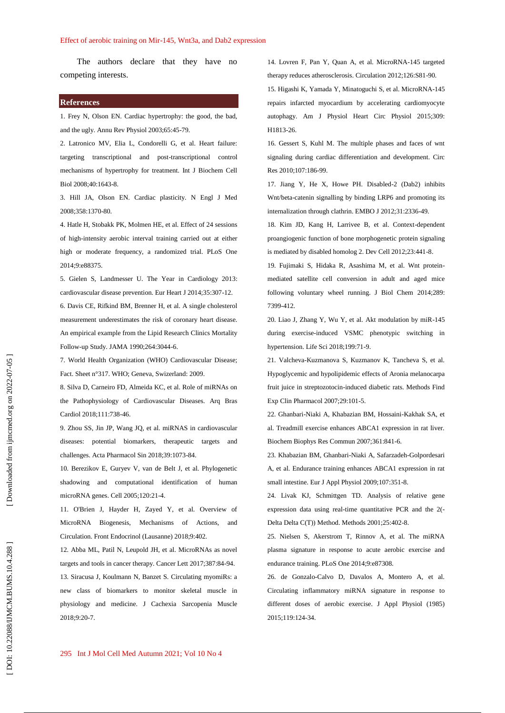The authors declare that they have no competing interests.

#### **References**

1. Frey N, Olson EN. Cardiac hypertrophy: the good, the bad, and the ugly. Annu Rev Physiol 2003;65:45 -79.

2. Latronico MV, Elia L, Condorelli G, et al. Heart failure: targeting transcriptional and post -transcriptional control mechanisms of hypertrophy for treatment. Int J Biochem Cell Biol 2008;40:1643 -8.

3. Hill JA, Olson EN. Cardiac plasticity. N Engl J Med 2008;358:1370 -80.

4. Hatle H, Stobakk PK, Molmen HE, et al. Effect of 24 sessions of high -intensity aerobic interval training carried out at either high or moderate frequency, a randomized trial. PLoS One 2014;9:e88375.

5. Gielen S, Landmesser U. The Year in Cardiology 2013: cardiovascular disease prevention. Eur Heart J 2014;35:307 -12.

6. Davis CE, Rifkind BM, Brenner H, et al. A single cholesterol measurement underestimates the risk of coronary heart disease. An empirical example from the Lipid Research Clinics Mortality Follow -up Study. JAMA 1990;264:3044 -6.

7. World Health Organization (WHO) Cardiovascular Disease; Fact. Sheet n°317. WHO; Geneva, Swizerland: 2009.

8. Silva D, Carneiro FD, Almeida KC, et al. Role of miRNAs on the Pathophysiology of Cardiovascular Diseases. Arq Bras Cardiol 2018;111:738 -46.

9. Zhou SS, Jin JP, Wang JQ, et al. miRNAS in cardiovascular diseases: potential biomarkers, therapeutic targets and challenges. Acta Pharmacol Sin 2018;39:1073 -84.

10. Berezikov E, Guryev V, van de Belt J, et al. Phylogenetic shadowing and computational identification of human microRNA genes. Cell 2005;120:21 -4.

11. O'Brien J, Hayder H, Zayed Y, et al. Overview of MicroRNA Biogenesis, Mechanisms of Actions, and Circulation. Front Endocrinol (Lausanne) 2018;9:402.

12. Abba ML, Patil N, Leupold JH, et al. MicroRNAs as novel targets and tools in cancer therapy. Cancer Lett 2017;387:84 -94. 13. Siracusa J, Koulmann N, Banzet S. Circulating myomiRs: a new class of biomarkers to monitor skeletal muscle in physiology and medicine. J Cachexia Sarcopenia Muscle 2018;9:20 -7.

14. Lovren F, Pan Y, Quan A, et al. MicroRNA -145 targeted therapy reduces atherosclerosis. Circulation 2012;126:S81 -90. 15. Higashi K, Yamada Y, Minatoguchi S, et al. MicroRNA -145 repairs infarcted myocardium by accelerating cardiomyocyte autophagy. Am J Physiol Heart Circ Physiol 2015;309: H1813 -26.

16. Gessert S, Kuhl M. The multiple phases and faces of wnt signaling during cardiac differentiation and development. Circ Res 2010;107:186 -99.

17. Jiang Y, He X, Howe PH. Disabled -2 (Dab2) inhibits Wnt/beta -catenin signalling by binding LRP6 and promoting its internalization through clathrin. EMBO J 2012;31:2336 -49.

18. Kim JD, Kang H, Larrivee B, et al. Context -dependent proangiogenic function of bone morphogenetic protein signaling is mediated by disabled homolog 2. Dev Cell 2012;23:441 -8.

19. Fujimaki S, Hidaka R, Asashima M, et al. Wnt protein mediated satellite cell conversion in adult and aged mice following voluntary wheel running. J Biol Chem 2014;289: 7399 -412.

20. Liao J, Zhang Y, Wu Y, et al. Akt modulation by miR -145 during exercise -induced VSMC phenotypic switching in hypertension. Life Sci 2018;199:71 -9.

21. Valcheva -Kuzmanova S, Kuzmanov K, Tancheva S, et al. Hypoglycemic and hypolipidemic effects of Aronia melanocarpa fruit juice in streptozotocin -induced diabetic rats. Methods Find Exp Clin Pharmacol 2007;29:101 -5.

22. Ghanbari -Niaki A, Khabazian BM, Hossaini -Kakhak SA, et al. Treadmill exercise enhances ABCA1 expression in rat liver. Biochem Biophys Res Commun 2007;361:841-6.

23. Khabazian BM, Ghanbari -Niaki A, Safarzadeh -Golpordesari A, et al. Endurance training enhances ABCA1 expression in rat small intestine. Eur J Appl Physiol 2009;107:351 -8.

24. Livak KJ, Schmittgen TD. Analysis of relative gene expression data using real-time quantitative PCR and the 2(-Delta Delta C(T)) Method. Methods 2001;25:402 -8.

25. Nielsen S, Akerstrom T, Rinnov A, et al. The miRNA plasma signature in response to acute aerobic exercise and endurance training. PLoS One 2014;9:e87308.

26. de Gonzalo -Calvo D, Davalos A, Montero A, et al. Circulating inflammatory miRNA signature in response to different doses of aerobic exercise. J Appl Physiol (1985) 2015;119:124 -34.